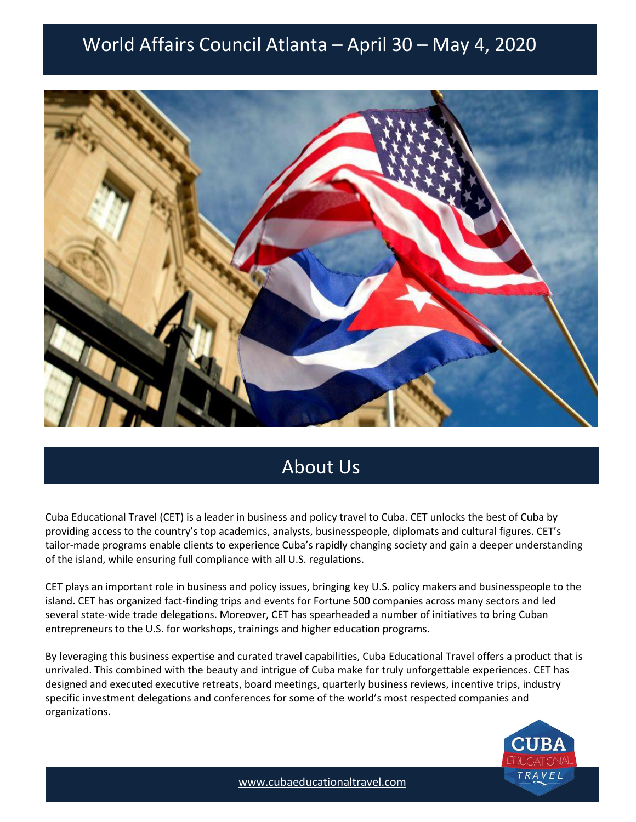# World Affairs Council Atlanta – April 30 – May 4, 2020 World Affairs Council Atlanta – April 30 – May 4, 2020



# About Us

Cuba Educational Travel (CET) is a leader in business and policy travel to Cuba. CET unlocks the best of Cuba by providing access to the country's top academics, analysts, businesspeople, diplomats and cultural figures. CET's tailor-made programs enable clients to experience Cuba's rapidly changing society and gain a deeper understanding of the island, while ensuring full compliance with all U.S. regulations.

CET plays an important role in business and policy issues, bringing key U.S. policy makers and businesspeople to the island. CET has organized fact-finding trips and events for Fortune 500 companies across many sectors and led several state-wide trade delegations. Moreover, CET has spearheaded a number of initiatives to bring Cuban entrepreneurs to the U.S. for workshops, trainings and higher education programs.

By leveraging this business expertise and curated travel capabilities, Cuba Educational Travel offers a product that is unrivaled. This combined with the beauty and intrigue of Cuba make for truly unforgettable experiences. CET has designed and executed executive retreats, board meetings, quarterly business reviews, incentive trips, industry specific investment delegations and conferences for some of the world's most respected companies and organizations.



[www.cubaeducationaltravel.com](http://www.cubaeducationaltravel.com/)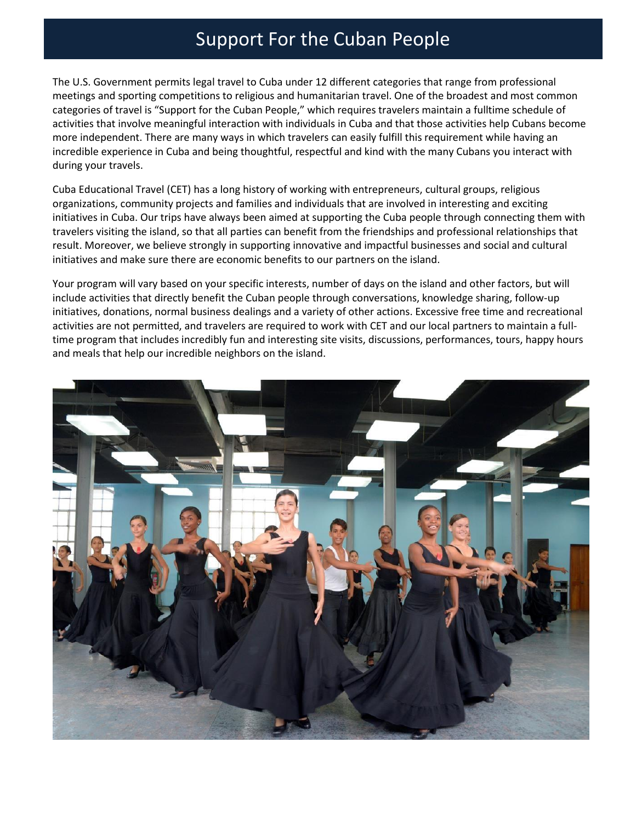# Support For the Cuban People

The U.S. Government permits legal travel to Cuba under 12 different categories that range from professional meetings and sporting competitions to religious and humanitarian travel. One of the broadest and most common categories of travel is "Support for the Cuban People," which requires travelers maintain a fulltime schedule of activities that involve meaningful interaction with individuals in Cuba and that those activities help Cubans become more independent. There are many ways in which travelers can easily fulfill this requirement while having an incredible experience in Cuba and being thoughtful, respectful and kind with the many Cubans you interact with during your travels.

Cuba Educational Travel (CET) has a long history of working with entrepreneurs, cultural groups, religious organizations, community projects and families and individuals that are involved in interesting and exciting initiatives in Cuba. Our trips have always been aimed at supporting the Cuba people through connecting them with travelers visiting the island, so that all parties can benefit from the friendships and professional relationships that result. Moreover, we believe strongly in supporting innovative and impactful businesses and social and cultural initiatives and make sure there are economic benefits to our partners on the island.

Your program will vary based on your specific interests, number of days on the island and other factors, but will include activities that directly benefit the Cuban people through conversations, knowledge sharing, follow-up initiatives, donations, normal business dealings and a variety of other actions. Excessive free time and recreational activities are not permitted, and travelers are required to work with CET and our local partners to maintain a fulltime program that includes incredibly fun and interesting site visits, discussions, performances, tours, happy hours and meals that help our incredible neighbors on the island.

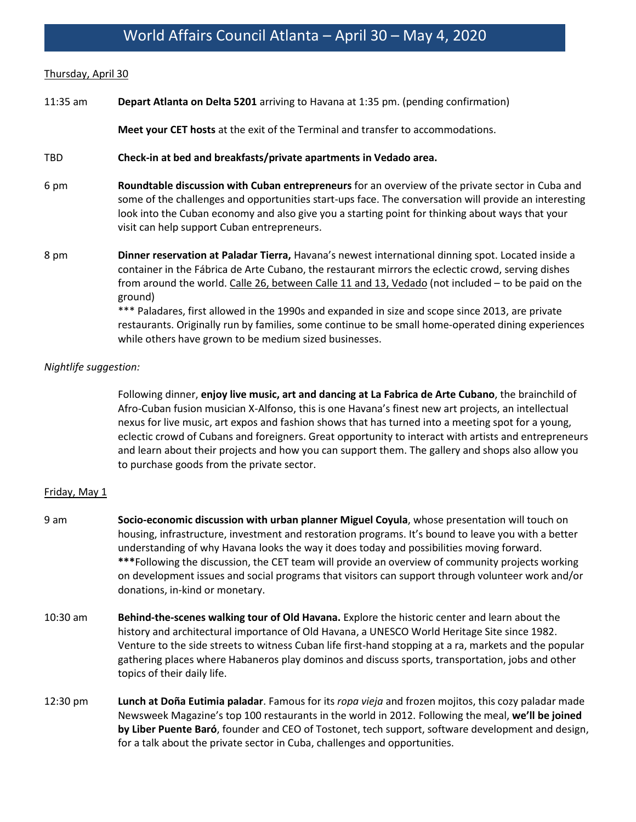### World Affairs Council Atlanta – April 30 – May 4, 2020

#### Thursday, April 30

11:35 am **Depart Atlanta on Delta 5201** arriving to Havana at 1:35 pm. (pending confirmation)

**Meet your CET hosts** at the exit of the Terminal and transfer to accommodations.

#### TBD **Check-in at bed and breakfasts/private apartments in Vedado area.**

- 6 pm **Roundtable discussion with Cuban entrepreneurs** for an overview of the private sector in Cuba and some of the challenges and opportunities start-ups face. The conversation will provide an interesting look into the Cuban economy and also give you a starting point for thinking about ways that your visit can help support Cuban entrepreneurs.
- 8 pm **Dinner reservation at Paladar Tierra,** Havana's newest international dinning spot. Located inside a container in the Fábrica de Arte Cubano, the restaurant mirrors the eclectic crowd, serving dishes from around the world. Calle 26, between Calle 11 and 13, Vedado (not included – to be paid on the ground) \*\*\* Paladares, first allowed in the 1990s and expanded in size and scope since 2013, are private

restaurants. Originally run by families, some continue to be small home-operated dining experiences while others have grown to be medium sized businesses.

#### *Nightlife suggestion:*

Following dinner, **enjoy live music, art and dancing at La Fabrica de Arte Cubano**, the brainchild of Afro-Cuban fusion musician X-Alfonso, this is one Havana's finest new art projects, an intellectual nexus for live music, art expos and fashion shows that has turned into a meeting spot for a young, eclectic crowd of Cubans and foreigners. Great opportunity to interact with artists and entrepreneurs and learn about their projects and how you can support them. The gallery and shops also allow you to purchase goods from the private sector.

#### Friday, May 1

- 9 am **Socio-economic discussion with urban planner Miguel Coyula**, whose presentation will touch on housing, infrastructure, investment and restoration programs. It's bound to leave you with a better understanding of why Havana looks the way it does today and possibilities moving forward. **\*\*\***Following the discussion, the CET team will provide an overview of community projects working on development issues and social programs that visitors can support through volunteer work and/or donations, in-kind or monetary.
- 10:30 am **Behind-the-scenes walking tour of Old Havana.** Explore the historic center and learn about the history and architectural importance of Old Havana, a UNESCO World Heritage Site since 1982. Venture to the side streets to witness Cuban life first-hand stopping at a ra, markets and the popular gathering places where Habaneros play dominos and discuss sports, transportation, jobs and other topics of their daily life.
- 12:30 pm **Lunch at Doña Eutimia paladar**. Famous for its *ropa vieja* and frozen mojitos, this cozy paladar made Newsweek Magazine's top 100 restaurants in the world in 2012. Following the meal, **we'll be joined by Liber Puente Baró**, founder and CEO of Tostonet, tech support, software development and design, for a talk about the private sector in Cuba, challenges and opportunities.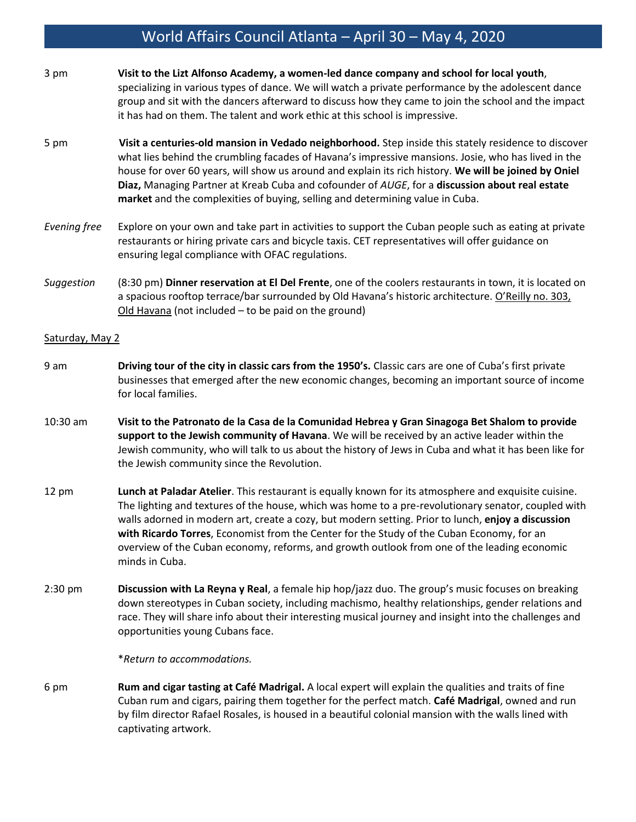## World Affairs Council Atlanta – April 30 – May 4, 2020

- 3 pm **Visit to the Lizt Alfonso Academy, a women-led dance company and school for local youth**, specializing in various types of dance. We will watch a private performance by the adolescent dance group and sit with the dancers afterward to discuss how they came to join the school and the impact it has had on them. The talent and work ethic at this school is impressive.
- 5 pm **Visit a centuries-old mansion in Vedado neighborhood.** Step inside this stately residence to discover what lies behind the crumbling facades of Havana's impressive mansions. Josie, who has lived in the house for over 60 years, will show us around and explain its rich history. **We will be joined by Oniel Diaz,** Managing Partner at Kreab Cuba and cofounder of *AUGE*, for a **discussion about real estate market** and the complexities of buying, selling and determining value in Cuba.
- *Evening free* Explore on your own and take part in activities to support the Cuban people such as eating at private restaurants or hiring private cars and bicycle taxis. CET representatives will offer guidance on ensuring legal compliance with OFAC regulations.
- *Suggestion* (8:30 pm) **Dinner reservation at El Del Frente**, one of the coolers restaurants in town, it is located on a spacious rooftop terrace/bar surrounded by Old Havana's historic architecture. O'Reilly no. 303, Old Havana (not included – to be paid on the ground)

#### Saturday, May 2

- 9 am **Driving tour of the city in classic cars from the 1950's.** Classic cars are one of Cuba's first private businesses that emerged after the new economic changes, becoming an important source of income for local families.
- 10:30 am **Visit to the Patronato de la Casa de la Comunidad Hebrea y Gran Sinagoga Bet Shalom to provide support to the Jewish community of Havana**. We will be received by an active leader within the Jewish community, who will talk to us about the history of Jews in Cuba and what it has been like for the Jewish community since the Revolution.
- 12 pm **Lunch at Paladar Atelier**. This restaurant is equally known for its atmosphere and exquisite cuisine. The lighting and textures of the house, which was home to a pre-revolutionary senator, coupled with walls adorned in modern art, create a cozy, but modern setting. Prior to lunch, **enjoy a discussion with Ricardo Torres**, Economist from the Center for the Study of the Cuban Economy, for an overview of the Cuban economy, reforms, and growth outlook from one of the leading economic minds in Cuba.
- 2:30 pm **Discussion with La Reyna y Real**, a female hip hop/jazz duo. The group's music focuses on breaking down stereotypes in Cuban society, including machismo, healthy relationships, gender relations and race. They will share info about their interesting musical journey and insight into the challenges and opportunities young Cubans face.

\**Return to accommodations.* 

6 pm **Rum and cigar tasting at Café Madrigal.** A local expert will explain the qualities and traits of fine Cuban rum and cigars, pairing them together for the perfect match. **Café Madrigal**, owned and run by film director Rafael Rosales, is housed in a beautiful colonial mansion with the walls lined with captivating artwork.